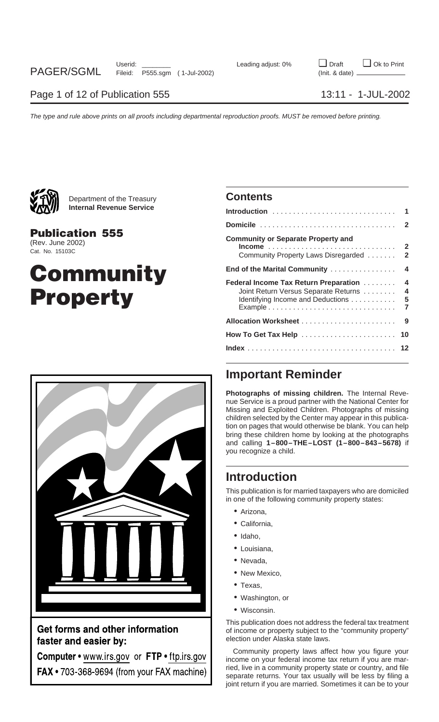

Department of the Treasury **Contents Internal Revenue Service** 

## **Community Property**



Get forms and other information faster and easier by:

Computer . www.irs.gov or FTP . ftp.irs.gov FAX • 703-368-9694 (from your FAX machine)

| <b>YAXVII</b><br><b>Internal Revenue Service</b>              |                                                                                                                          |  |
|---------------------------------------------------------------|--------------------------------------------------------------------------------------------------------------------------|--|
|                                                               |                                                                                                                          |  |
| <b>Publication 555</b><br>(Rev. June 2002)<br>Cat. No. 15103C | <b>Community or Separate Property and</b><br>Community Property Laws Disregarded  2                                      |  |
| Community                                                     |                                                                                                                          |  |
| <b>Property</b>                                               | Federal Income Tax Return Preparation 4<br>Joint Return Versus Separate Returns 4<br>Identifying Income and Deductions 5 |  |
|                                                               |                                                                                                                          |  |
|                                                               |                                                                                                                          |  |
|                                                               |                                                                                                                          |  |
|                                                               |                                                                                                                          |  |

### **Important Reminder**

**Photographs of missing children.** The Internal Revenue Service is a proud partner with the National Center for Missing and Exploited Children. Photographs of missing children selected by the Center may appear in this publication on pages that would otherwise be blank. You can help bring these children home by looking at the photographs and calling **1–800–THE–LOST (1–800–843–5678)** if you recognize a child.

### **Introduction**

This publication is for married taxpayers who are domiciled in one of the following community property states:

- Arizona,
- California,
- Idaho,
- Louisiana,
- Nevada,
- New Mexico.
- Texas,
- Washington, or
- Wisconsin.

This publication does not address the federal tax treatment of income or property subject to the "community property" election under Alaska state laws.

Community property laws affect how you figure your income on your federal income tax return if you are married, live in a community property state or country, and file separate returns. Your tax usually will be less by filing a joint return if you are married. Sometimes it can be to your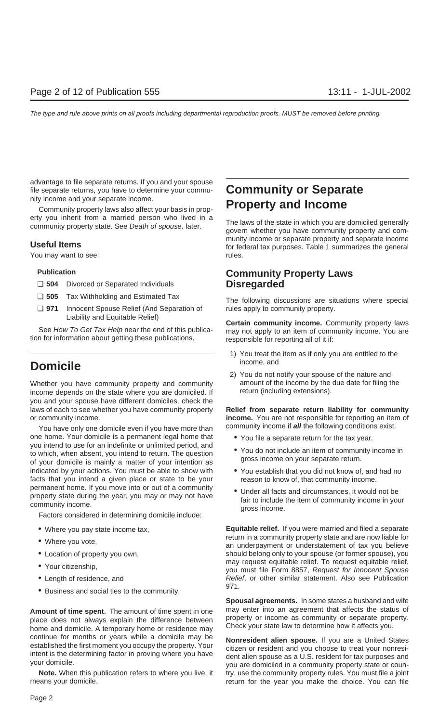advantage to file separate returns. If you and your spouse file separate returns, you have to determine your commu-<br>nity income and your separate income.

erty you inherit from a married person who lived in a<br>community property state. See Death of spouse, later.<br>govern whether you have community property and com-

You may want to see: The second set of the set of the set of the set of the set of the set of the set of the set of the set of the set of the set of the set of the set of the set of the set of the set of the set of the set

- ❏ **504** Divorced or Separated Individuals **Disregarded**
- 
- ❏ **971** Innocent Spouse Relief (And Separation of rules apply to community property.

tion for information about getting these publications. responsible for reporting all of it if:

### **Domicile** income, and **Domicile**

Whether you have community property and community amount of the income by the due date for filing the income depends on the state where you are domiciled If return (including extensions). income depends on the state where you are domiciled. If you and your spouse have different domiciles, check the laws of each to see whether you have community property **Relief from separate return liability for community** or community income. **income.** You are not responsible for reporting an item of

one home. Your domicile is a permanent legal home that  $\bullet$  You file a separate return for the tax year.<br>you intend to use for an indefinite or unlimited period, and to which, when absent, you intend to return. The question<br>of your domicile is mainly a matter of your intention as<br>of your domicile is mainly a matter of your intention as indicated by your actions. You must be able to show with • You establish that you did not know of, and had no facts that you intend a given place or state to be your reason to know of, that community income. permanent home. If you move into or out of a community<br>property state during the year, you may or may not have<br>community income.<br>Factors considered in determining domicile include:<br>Factors considered in determining domicil

- 
- 
- 
- 
- 
- 971. Business and social ties to the community.

**Amount of time spent.** The amount of time spent in one may enter into an agreement that affects the status of place does not always explain the difference between property or income as community or separate property.<br>home continue for months or years while a domicile may be<br>established the first moment you occupy the property. Your<br>intent is the determining factor in proving where you have<br>you are domiciled in a community property state or

means your domicile. The return for the year you make the choice. You can file

## Community property laws also affect your basis in prop- **Property and Income**

munity income or separate property and separate income<br>**Useful Items** for federal tax purposes. Table 1 summarizes the general

## **Publication Community Property Laws**

❏ **<sup>505</sup>** Tax Withholding and Estimated Tax The following discussions are situations where special

Liability and Equitable Relief) **Certain community income.** Community property laws See How To Get Tax Help near the end of this publica- may not apply to an item of community income. You are

- 1) You treat the item as if only you are entitled to the
- 2) You do not notify your spouse of the nature and

You have only one domicile even if you have more than community income if *all* the following conditions exist.

- 
- 
- 
- 

• Where you pay state income tax, **Equitable relief.** If you were married and filed a separate • Where you vote, • Where you vote, • Where you vote,  $\frac{1}{2}$  an underpayment or understatement of tax you believe • Location of property you own, should belong only to your spouse (or former spouse), you<br>may request equitable relief. To request equitable relief, may request equitable relief. To request equitable relief, • Your citizenship, you must file Form 8857, Request for Innocent Spouse • Length of residence, and **Relief**, or other similar statement. Also see Publication

**Spousal agreements.** In some states a husband and wife may enter into an agreement that affects the status of

**Note.** When this publication refers to where you live, it try, use the community property rules. You must file a joint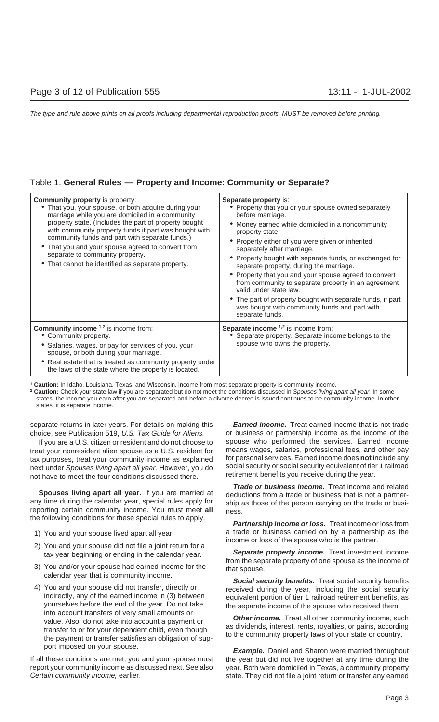| <b>Community property is property:</b><br>• That you, your spouse, or both acquire during your<br>marriage while you are domiciled in a community<br>property state. (Includes the part of property bought<br>with community property funds if part was bought with<br>community funds and part with separate funds.)<br>• That you and your spouse agreed to convert from<br>separate to community property.<br>• That cannot be identified as separate property. | Separate property is:<br>• Property that you or your spouse owned separately<br>before marriage.<br>• Money earned while domiciled in a noncommunity<br>property state.<br>• Property either of you were given or inherited<br>separately after marriage.<br>• Property bought with separate funds, or exchanged for<br>separate property, during the marriage.<br>• Property that you and your spouse agreed to convert<br>from community to separate property in an agreement<br>valid under state law.<br>• The part of property bought with separate funds, if part<br>was bought with community funds and part with<br>separate funds. |
|--------------------------------------------------------------------------------------------------------------------------------------------------------------------------------------------------------------------------------------------------------------------------------------------------------------------------------------------------------------------------------------------------------------------------------------------------------------------|---------------------------------------------------------------------------------------------------------------------------------------------------------------------------------------------------------------------------------------------------------------------------------------------------------------------------------------------------------------------------------------------------------------------------------------------------------------------------------------------------------------------------------------------------------------------------------------------------------------------------------------------|
| <b>Community income</b> 1,2 is income from:<br>• Community property.<br>Salaries, wages, or pay for services of you, your<br>spouse, or both during your marriage.<br>• Real estate that is treated as community property under<br>the laws of the state where the property is located.                                                                                                                                                                            | Separate income 1,2 is income from:<br>• Separate property. Separate income belongs to the<br>spouse who owns the property.                                                                                                                                                                                                                                                                                                                                                                                                                                                                                                                 |

**1 Caution:** In Idaho, Louisiana, Texas, and Wisconsin, income from most separate property is community income.

<sup>2</sup> Caution: Check your state law if you are separated but do not meet the conditions discussed in Spouses living apart all year. In some states, the income you earn after you are separated and before a divorce decree is issued continues to be community income. In other states, it is separate income.

separate returns in later years. For details on making this **Earned income.** Treat earned income that is not trade choice, see Publication 519, U.S. Tax Guide for Aliens. or business or partnership income as the income of the

treat your nonresident alien spouse as a U.S. resident for means wages, salaries, professional fees, and other pay<br>tax purposes, treat your community income as explained for personal services. Earned income does **not** incl tax purposes, treat your community income as explained next under Spouses living apart all year. However, you do social security or social security equivalent of tier 1 railroad not have to meet the four conditions discussed there retirement benefits you receive during the yea not have to meet the four conditions discussed there.

Spouses living apart all year. If you are married at deductions from a trade or business that is not a partner-<br>any time during the calendar year, special rules apply for ship as those of the person carrying on the trade o reporting certain community income. You must meet all ness. the following conditions for these special rules to apply. **Partnership income or loss.** Treat income or loss from

- 
- 
- 
- yourselves before the end of the year. Do not take the separate income of the spouse who received them.<br>into account transfers of very small amounts or

report your community income as discussed next. See also year. Both were domiciled in Texas, a community property Certain community income, earlier. Statel a state. They did not file a joint return or transfer any earned

If you are a U.S. citizen or resident and do not choose to spouse who performed the services. Earned income

**Trade or business income.** Treat income and related

1) You and your spouse lived apart all year. <br>a trade or business carried on by a partnership as the income or loss of the spouse who is the partner.

2) You and your spouse did not file a joint return for a<br>
tax year beginning or ending in the calendar year.<br>
3) You and/or your spouse had earned income for the<br>
calendar year that is community income.<br>
4) You and your sp

value. Also, do not take into account a payment or<br>transfer to or for your dependent child, even though<br>the payment or transfer satisfies an obligation of sup-<br>to the community property laws of your state or country.

port imposed on your spouse. **Example.** Daniel and Sharon were married throughout If all these conditions are met, you and your spouse must the year but did not live together at any time during the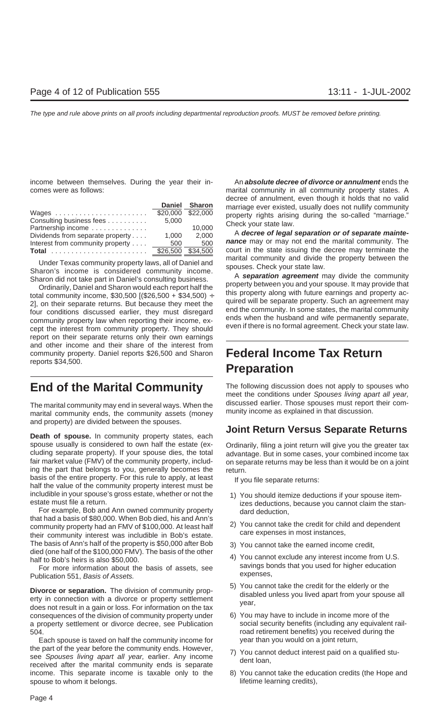income between themselves. During the year their in- An **absolute decree of divorce or annulment** ends the comes were as follows: marital community in all community property states. A

| Consulting business fees<br>Partnership income<br>Dividends from separate property<br>Interest from community property | Daniel Sharon<br>5,000<br>1.000<br>500 | aborde of annumitative order alonger is holder that he rand<br>marriage ever existed, usually does not nullify community<br>property rights arising during the so-called "marriage."<br>Check your state law.<br>10.000<br>A decree of legal separation or of separate mainte-<br>2.000<br>nance may or may not end the marital community. The<br>500<br>court in the state issuing the decree may terminate the |
|------------------------------------------------------------------------------------------------------------------------|----------------------------------------|------------------------------------------------------------------------------------------------------------------------------------------------------------------------------------------------------------------------------------------------------------------------------------------------------------------------------------------------------------------------------------------------------------------|
|                                                                                                                        |                                        | the contract of the contract of the contract of the contract of the contract of the contract of the contract of                                                                                                                                                                                                                                                                                                  |

report on their separate returns only their own earnings and other income and their share of the interest from community property. Daniel reports \$26,500 and Sharon **Federal Income Tax Return** reports \$34,500.

marital community ends, the community assets (money and property) are divided between the spouses.

spouse usually is considered to own half the estate (ex- Ordinarily, filing a joint return will give you the greater tax cluding separate property). If your spouse dies, the total advantage. But in some cases, your combined income tax<br>fair market value (FMV) of the community property, includ- on separate returns may be less than it would be ing the part that belongs to you, generally becomes the return.<br>basis of the entire property. For this rule to apply, at least basis of the entire property. For this rule to apply, at least If you file separate returns:<br>half the value of the community property interest must be includible in your spouse's gross estate, whether or not the 1) You should itemize deductions if your spouse item-<br>izes deductions, because you cannot claim the stan

For example, Bob and Ann owned community property dard deduction, that had a basis of \$80,000. When Bob died, his and Ann's community property had an FMV of \$100,000. At least half 2) You cannot take the credit for child and dependent<br>their community interest was includible in Bob's estate. care expenses in most instances, The basis of Ann's half of the property is \$50,000 after Bob<br>died (one half of the \$100,000 FMV). The basis of the other<br>half to Bob's heirs is also \$50,000.<br>For more information about the basis of assets, see<br>Publication

Publication 551, Basis of Assets.

**Divorce or separation.** The division of community prop-<br>erty in connection with a divorce or property settlement<br>does not result in a gain or loss. For information on the tax<br>does not result in a gain or loss. For informa consequences of the division of community property under 6) You may have to include in income more of the a property settlement or divorce decree, see Publication social security benefits (including any equivalent rail-504. road retirement benefits) you received during the

Each spouse is taxed on half the community income for year than you would on a joint return, the part of the year before the community ends. However,<br>see Spouses living apart all year, earlier. Any income<br>received after the marital community ends is separate<br>free loan, income. This separate income is taxable only to the 8) You cannot take the education credits (the Hope and spouse to whom it belongs.  $\qquad \qquad$  lifetime learning credits),

decree of annulment, even though it holds that no valid

nance may or may not end the marital community. The court in the state issuing the decree may terminate the

Under Texas community property laws, all of Daniel and<br>
Sharon's income is considered community income.<br>
Sharon did not take part in Daniel's consulting business.<br>
Chrone Sharon did not take part in Daniel's consulting bus

# **Preparation**

**End of the Marital Community** The following discussion does not apply to spouses who meet the conditions under Spouses living apart all year, The marital community may end in several ways. When the discussed earlier. Those spouses must report their com-<br>marital community ands the community assets (money munity income as explained in that discussion.

### **Joint Return Versus Separate Returns Death of spouse.** In community property states, each

on separate returns may be less than it would be on a joint

- izes deductions, because you cannot claim the stan-
- 
- 
- 
- 
- 
- 
-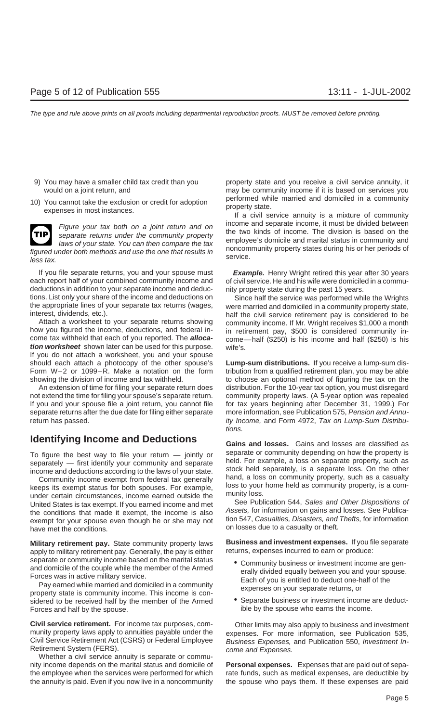- 
- 



figured under both methods and use the one that results in service.<br>less tax. service.

each report half of your combined community income and of civil service. He and his wife were domiciled in a commudeductions in addition to your separate income and deduc- nity property state during the past 15 years. tions. List only your share of the income and deductions on Since half the service was performed while the Wrights<br>the appropriate lines of your separate tax returns (wages, were married and domiciled in a community proper

how you figured the income, deductions, and federal in-<br>come tax withheld that each of you reported. The **alloca-** come—half (\$250) is his income and half (\$250) is his **tion worksheet** shown later can be used for this purpose. wife's. If you do not attach a worksheet, you and your spouse should each attach a photocopy of the other spouse's **Lump-sum distributions.** If you receive a lump-sum dis-Form W–2 or 1099–R. Make a notation on the form tribution from a qualified retirement plan, you may be able showing the division of income and tax withheld. The choose an optional method of figuring the tax on the

not extend the time for filing your spouse's separate return. community property laws. (A 5-year option was repealed If you and your spouse file a joint return, you cannot file for tax years beginning after December 31, 1999.) For separate returns after the due date for filing either separate more information, see Publication 575, Pension and Annureturn has passed. ity Income, and Form 4972, Tax on Lump-Sum Distribu-

### **Identifying Income and Deductions Gains and losses.** Gains and losses are classified as

keeps its exempt status for both spouses. For example,<br>under certain circumstances, income earned outside the munity loss.<br>United States is tax exempt If you earned income and met See Publication 544, Sales and Other Dispo United States is tax exempt. If you earned income and met See Publication 544, Sales and Other Dispositions of<br>the conditions that made it exempt, the income is also Assets, for information on gains and losses. See Publica the conditions that made it exempt, the income is also Assets, for information on gains and losses. See Publica-<br>exempt for your spouse even though he or she may not tion 547, Casualties, Disasters, and Thefts, for informa

apply to military retirement pay. Generally, the pay is either

sidered to be received half by the member of the Armed • Separate business or investment income are deduct-Forces and half by the spouse.  $\blacksquare$  ible by the spouse who earns the income.

**Civil service retirement.** For income tax purposes, com-<br>Other limits may also apply to business and investment munity property laws apply to annuities payable under the expenses. For more information, see Publication 535,<br>Civil Service Retirement Act (CSRS) or Federal Employee Business Expenses, and Publication 550, Investment In-Retirement System (FERS). The come and Expenses.

Whether a civil service annuity is separate or community income depends on the marital status and domicile of **Personal expenses.** Expenses that are paid out of sepathe employee when the services were performed for which rate funds, such as medical expenses, are deductible by the annuity is paid. Even if you now live in a noncommunity the spouse who pays them. If these expenses are paid

9) You may have a smaller child tax credit than you property state and you receive a civil service annuity, it would on a joint return, and **may be community income if it is based on services you** 10) You cannot take the exclusion or credit for adoption performed while married and domiciled in a community<br>expenses in most instances.<br>If a civil service annuity is a mixture of community

Figure your tax both on a joint return and on<br>separate income. The division is based on the<br>laws of your state. You can then compare the tax<br>laws of your state. You can then compare the tax<br>ander both methods and use the o

If you file separate returns, you and your spouse must **Example.** Henry Wright retired this year after 30 years

the appropriate lines of your separate tax returns (wages, were married and domiciled in a community property state,<br>interest, dividends, etc.). half the civil service retirement pay is considered to be. Attach a worksheet to your separate returns showing community income. If Mr. Wright receives \$1,000 a month how you figured the income, deductions, and federal in-<br>in retirement pay \$500 is considered community income—half (\$250) is his income and half (\$250) is his

An extension of time for filing your separate return does distribution. For the 10-year tax option, you must disregard tions.

To figure the best way to file your return  $-$  jointly or separate or community depending on how the property is separately  $-$  first identify your community and separate  $-$  first identify your community and separate  $-$ Community income exempt from federal tax generally hand, a loss on community property, such as a casualty<br>ens its exempt status for both spouses. For example loss to your home held as community property, is a com-

**Military retirement pay.** State community property laws **Business and investment expenses.** If you file separate

- separate or community income based on the marital status<br>and domicile of the couple while the member of the Armed<br>Forces was in active military service.<br>Pay earned while married and domiciled in a community<br>property state
	-

Business Expenses, and Publication 550, Investment In-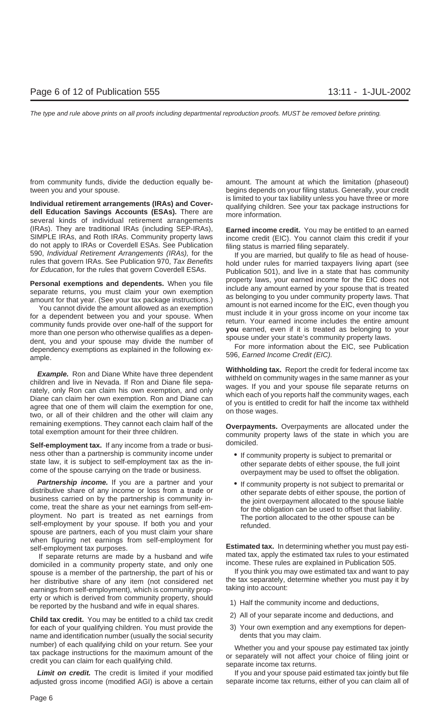from community funds, divide the deduction equally be- amount. The amount at which the limitation (phaseout) tween you and your spouse. begins depends on your filing status. Generally, your credit

several kinds of individual retirement arrangements (IRAs). They are traditional IRAs (including SEP-IRAs), **Earned income credit.** You may be entitled to an earned do not apply to IRAs or Coverdell ESAs. See Publication filing status is married filing separately.<br>590, Individual Retirement Arrangements (IRAs), for the fill you are married but qualify to file

**Example.** Ron and Diane White have three dependent children and live in Nevada. If Ron and Diane file separately, only Ron can claim his own exemption, and only wages. If you and your spouse file separate returns on the c remaining exemptions. They cannot each claim half of the **Overpayments.** Overpayments are allocated under the total exemption amount for their three children.

**Self-employment tax.** If any income from a trade or busi-<br> ness other than a partnership is community income under<br>state law, it is subject to self-employment tax as the in-<br>come of the spouse carrying on the trade or business.<br>overpayment may be used to offset the obligation.

**Partnership income.** If you are a partner and your<br>distributive share of any income or loss from a trade or<br>business carried on by the partnership is community in-<br>come, treat the share as your net earnings from self-em-<br> spouse are partners, each of you must claim your share

spouse is a member of the partnership, the part of his or her distributive share of any item (not considered net the tax separately, determine whether you must pay it by<br>earnings from self-employment) which is community prop-<br>taking into account: earnings from self-employment), which is community property or which is derived from community property, should<br>be reported by the husband and wife in equal shares.<br>1) Half the community income and deductions,

2) All of your separate income and deductions, and **Child tax credit.** You may be entitled to a child tax credit for each of your qualifying children. You must provide the 3) Your own exemption and any exemptions for depen-<br>name and identification number (usually the social security dents that you may claim. name and identification number (usually the social security number) of each qualifying child on your return. See your whether you and your spouse pay estimated tax jointly<br>tax package instructions for the maximum amount of the origanately will not affect your choice of filing joint

adjusted gross income (modified AGI) is above a certain separate income tax returns, either of you can claim all of

Individual retirement arrangements (IRAs) and Cover-<br>dell Education Savings Accounts (ESAs). There are dell Education Savings Accounts (ESAs). There are more information.

income credit (EIC). You cannot claim this credit if your

590, *Individual Retirement Arrangements (IRAs)*, for the fit you are married, but qualify to file as head of house-<br>rules that govern IRAs. See Publication 970, Tax Benefits hold under rules for married taxpayers living a **Personal exemptions and dependents.** When you file<br>separate returns, you must claim your own exemption<br>amount for that year. (See your tax package instructions.)<br>You cannot divide the amount allowed as an exemption<br>for a

- 
- 

when figuring net earnings from self-employment for<br>self-employment tax purposes.<br>If separate returns are made by a husband and wife<br>direction a community property state, and only one<br>shouse is a member of the partnership

- 
- 
- 

Limit on credit. The credit is limited if your modified If you and your spouse paid estimated tax jointly but file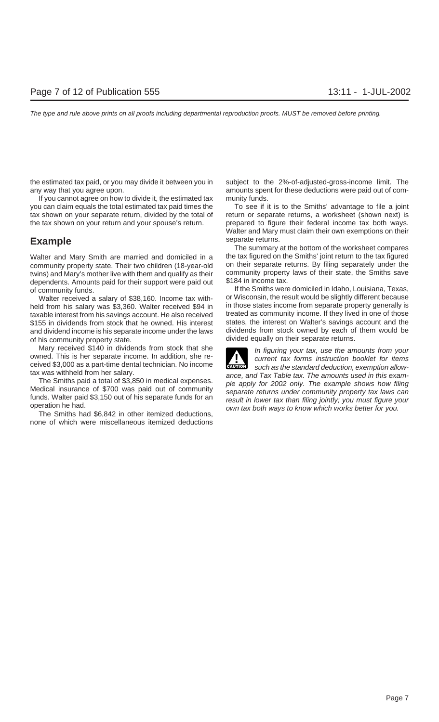the estimated tax paid, or you may divide it between you in subject to the 2%-of-adjusted-gross-income limit. The any way that you agree upon. amounts spent for these deductions were paid out of com-

If you cannot agree on how to divide it, the estimated tax munity funds. you can claim equals the total estimated tax paid times the To see if it is to the Smiths' advantage to file a joint tax shown on your separate return, divided by the total of return or separate returns, a worksheet (shown next) is the tax shown on your return and your spouse's return. prepared to figure their federal income tax both ways.

community property state. Their two children (18-year-old on their separate returns. By filing separately under the twins) and Mary's mother live with them and qualify as their community property laws of their state, the Smiths save<br>dependents Amounts paid for their support were paid out \$184 in income tax. dependents. Amounts paid for their support were paid out of community funds. If the Smiths were domiciled in Idaho, Louisiana, Texas,

held from his salary was \$3,360. Walter received \$94 in taxable interest from his savings account. He also received treated as community income. If they lived in one of those \$155 in dividends from stock that he owned. His interest states, the interest on Walter's savings account and the sand dividend income is his separate income under the laws dividends from stock owned by each of them would and dividend income is his separate income under the laws of his community property state.<br>Mary received \$140 in dividends from stock that she and the figuring vous texture the am

Mary received \$140 in dividends from stock that she<br>owned. This is her separate income. In addition, she re-<br>ceived \$3,000 as a part-time dental technician. No income<br>example of the standard deduction, exemption allow-

none of which were miscellaneous itemized deductions

Walter and Mary must claim their own exemptions on their **Example** separate returns.

The summary at the bottom of the worksheet compares Walter and Mary Smith are married and domiciled in a the tax figured on the Smiths' joint return to the tax figured

Walter received a salary of \$38,160. Income tax with-<br>Id from his salary was \$3.360. Walter received \$94 in in those states income from separate property generally is

tax was withheld from her salary.<br>
The Smiths paid a total of \$3,850 in medical expenses.<br>
Medical insurance of \$700 was paid out of community<br>
funds. Walter paid \$3,150 out of his separate funds for an<br>
operation he had.<br>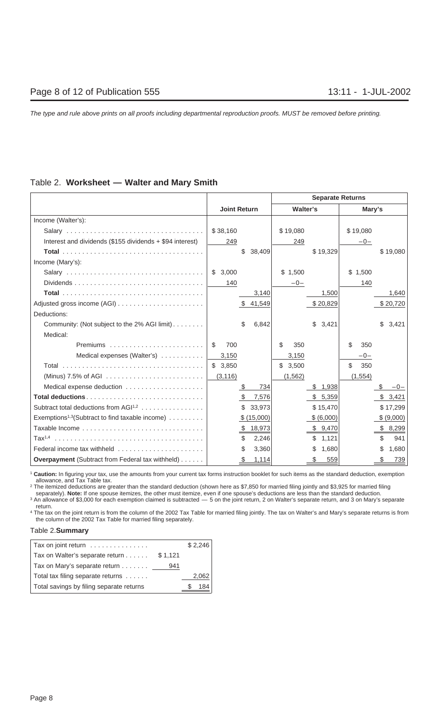### Table 2. **Worksheet — Walter and Mary Smith**

|                                                             |                     |            |            | <b>Separate Returns</b> |           |                  |
|-------------------------------------------------------------|---------------------|------------|------------|-------------------------|-----------|------------------|
|                                                             | <b>Joint Return</b> |            | Walter's   |                         | Mary's    |                  |
| Income (Walter's):                                          |                     |            |            |                         |           |                  |
|                                                             | \$38,160            |            | \$19,080   |                         | \$19,080  |                  |
| Interest and dividends (\$155 dividends + \$94 interest)    | 249                 |            | 249        |                         | $-0-$     |                  |
|                                                             | \$                  | 38,409     |            | \$19,329                |           | \$19,080         |
| Income (Mary's):                                            |                     |            |            |                         |           |                  |
|                                                             | \$3,000             |            | \$1,500    |                         | \$1,500   |                  |
|                                                             | 140                 |            | $-0-$      |                         | 140       |                  |
|                                                             |                     | 3,140      |            | 1,500                   |           | 1,640            |
|                                                             |                     | \$41,549   |            | \$20,829                |           | \$20,720         |
| Deductions:                                                 |                     |            |            |                         |           |                  |
| Community: (Not subject to the 2% AGI limit)                | \$                  | 6,842      |            | \$<br>3,421             |           | 3,421<br>\$      |
| Medical:                                                    |                     |            |            |                         |           |                  |
|                                                             | 700<br>\$           |            | \$.<br>350 |                         | \$<br>350 |                  |
| Medical expenses (Walter's)                                 | 3,150               |            | 3,150      |                         | $-0-$     |                  |
|                                                             | \$3,850             |            | \$3,500    |                         | \$<br>350 |                  |
|                                                             | (3, 116)            |            | (1, 562)   |                         | (1, 554)  |                  |
| Medical expense deduction                                   | \$                  | 734        |            | \$1,938                 |           | S<br>$-0-$       |
| Total deductions                                            | -\$                 | 7,576      |            | \$ 5,359                |           | \$3,421          |
| Subtract total deductions from $AGI^{1,2}$                  | \$                  | 33,973     |            | \$15,470                |           | \$17,299         |
| Exemptions <sup>1,3</sup> (Subtract to find taxable income) |                     | \$(15,000) |            | \$ (6,000)              |           | \$ (9,000)       |
|                                                             |                     | \$18,973   |            | \$9,470                 |           | 8,299<br>S.      |
|                                                             | \$                  | 2,246      |            | \$1,121                 |           | 941              |
| Federal income tax withheld                                 | \$                  | 3,360      |            | 1,680<br>S.             |           | \$<br>1,680      |
| <b>Overpayment</b> (Subtract from Federal tax withheld)     | <u>\$</u>           | 1,114      |            | 559<br>\$               |           | <u>739</u><br>\$ |

<sup>1</sup> **Caution:** In figuring your tax, use the amounts from your current tax forms instruction booklet for such items as the standard deduction, exemption allowance, and Tax Table tax.

<sup>2</sup> The itemized deductions are greater than the standard deduction (shown here as \$7,850 for married filing jointly and \$3,925 for married filing separately). **Note:** If one spouse itemizes, the other must itemize, even if one spouse's deductions are less than the standard deduction.

3 An allowance of \$3,000 for each exemption claimed is subtracted — 5 on the joint return, 2 on Walter's separate return, and 3 on Mary's separate return.

<sup>4</sup> The tax on the joint return is from the column of the 2002 Tax Table for married filing jointly. The tax on Walter's and Mary's separate returns is from the column of the 2002 Tax Table for married filing separately.

### Table 2.**Summary**

| Tax on joint return                      |         | \$2,246 |
|------------------------------------------|---------|---------|
| Tax on Walter's separate return          | \$1,121 |         |
| Tax on Mary's separate return            | 941     |         |
| Total tax filing separate returns        |         | 2,062   |
| Total savings by filing separate returns |         | 184     |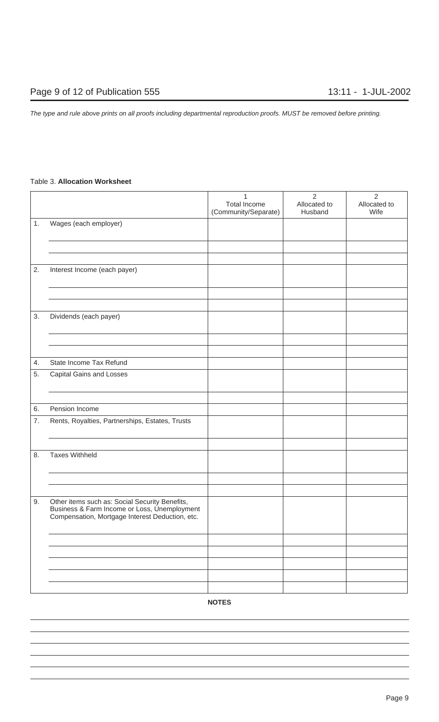### Table 3. **Allocation Worksheet**

|    |                                                                                                                                                   | 1<br><b>Total Income</b><br>(Community/Separate) | $\overline{2}$<br>Allocated to<br>Husband | $\overline{2}$<br>Allocated to<br>Wife |
|----|---------------------------------------------------------------------------------------------------------------------------------------------------|--------------------------------------------------|-------------------------------------------|----------------------------------------|
| 1. | Wages (each employer)                                                                                                                             |                                                  |                                           |                                        |
|    |                                                                                                                                                   |                                                  |                                           |                                        |
|    |                                                                                                                                                   |                                                  |                                           |                                        |
| 2. | Interest Income (each payer)                                                                                                                      |                                                  |                                           |                                        |
|    |                                                                                                                                                   |                                                  |                                           |                                        |
|    |                                                                                                                                                   |                                                  |                                           |                                        |
| 3. | Dividends (each payer)                                                                                                                            |                                                  |                                           |                                        |
|    |                                                                                                                                                   |                                                  |                                           |                                        |
|    |                                                                                                                                                   |                                                  |                                           |                                        |
| 4. | State Income Tax Refund                                                                                                                           |                                                  |                                           |                                        |
| 5. | <b>Capital Gains and Losses</b>                                                                                                                   |                                                  |                                           |                                        |
|    |                                                                                                                                                   |                                                  |                                           |                                        |
| 6. | Pension Income                                                                                                                                    |                                                  |                                           |                                        |
| 7. | Rents, Royalties, Partnerships, Estates, Trusts                                                                                                   |                                                  |                                           |                                        |
|    |                                                                                                                                                   |                                                  |                                           |                                        |
| 8. | <b>Taxes Withheld</b>                                                                                                                             |                                                  |                                           |                                        |
|    |                                                                                                                                                   |                                                  |                                           |                                        |
|    |                                                                                                                                                   |                                                  |                                           |                                        |
| 9. | Other items such as: Social Security Benefits,<br>Business & Farm Income or Loss, Unemployment<br>Compensation, Mortgage Interest Deduction, etc. |                                                  |                                           |                                        |
|    |                                                                                                                                                   |                                                  |                                           |                                        |
|    |                                                                                                                                                   |                                                  |                                           |                                        |
|    |                                                                                                                                                   |                                                  |                                           |                                        |
|    |                                                                                                                                                   |                                                  |                                           |                                        |
|    |                                                                                                                                                   |                                                  |                                           |                                        |

**NOTES**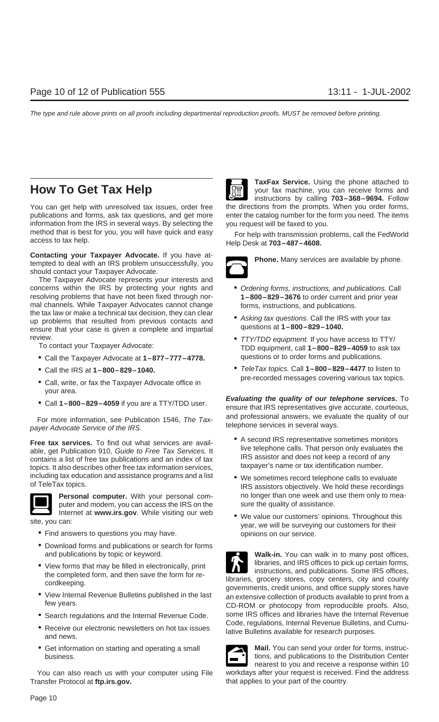You can get help with unresolved tax issues, order free the directions from the prompts. When you order forms, publications and forms, ask tax questions, and get more enter the catalog number for the form you need. The items information from the IRS in several ways. By selecting the you request will be faxed to you.

**Contacting your Taxpayer Advocate.** If you have at-<br>tempted to deal with an IRS problem unsuccessfully, you should contact your Taxpayer Advocate.

The Taxpayer Advocate represents your interests and concerns within the IRS by protecting your rights and • Ordering forms, instructions, and publications. Call resolving problems that have not been fixed through nor- **1–800–829–3676** to order current and prior year mal channels. While Taxpayer Advocates cannot change forms, instructions, and publications.<br>the tax law or make a technical tax decision, they can clear up problems that resulted from previous contacts and<br>ensure that your case is given a complete and impartial ensure that your case is given a complete and impartial

- Call the Taxpayer Advocate at  $1-877-777-4778$ . questions or to order forms and publications.
- 
- Call, write, or fax the Taxpayer Advocate office in your area.
- 

telephone services in several ways.<br>payer Advocate Service of the IRS.

Incurrent telephone calls. That person only evaluates the able, get Publication 910, Guide to Free Tax Services. It<br>contains a list of free tax publications and an index of tax IRS assistor and does not keep a record of an contains a list of free tax publications and an index of tax tax taxpayer's name or tax identification number.<br>topics. It also describes other free tax information services, the taxpayer's name or tax identification number including tax education and assistance programs and a list • We sometimes record telephone calls to evaluate of TeleTax topics.



puter and modem, you can access the IRS on the sure the quality of assistance.

- Find answers to questions you may have. The service opinions on our service.
- Download forms and publications or search for forms
- 
- 
- 
- 
- 

You can also reach us with your computer using File workdays after your request is received. Find the address Transfer Protocol at **ftp.irs.gov.** that applies to your part of the country.



**TaxFax Service.** Using the phone attached to **How To Get Tax Help Example 19 Your fax machine, you can receive forms and** instructions by calling **703–368–9694.** Follow

method that is best for you, you will have quick and easy For help with transmission problems, call the FedWorld access to tax help.<br>Help Desk at **703–487–4608.** 

- 
- 
- review. TTY/TDD equipment. If you have access to TTY/ To contact your Taxpayer Advocate: TDD equipment, call **1–800–829–4059** to ask tax
	- Call the IRS at **1–800–829–1040.** TeleTax topics. Call **1–800–829–4477** to listen to

**Evaluating the quality of our telephone services.** To **•** Call **1–800–829–4059** if you are a TTY/TDD user. ensure that IRS representatives give accurate, courteous, For more information, see Publication 1546, The Tax- and professional answers, we evaluate the quality of our

- **Free tax services.** To find out what services are avail-<br>**Free tax services.** To find out what services are avail-
	- **Personal computer.** With your personal com- no longer than one week and use them only to mea-
- Internet at **www.irs.gov**. While visiting our web **•** We value our customers' opinions. Throughout this site, you can: **year, we will be surveying our customers** for their

and publications by topic or keyword. **Walk-in.** You can walk in to many post offices, • View forms that may be filled in electronically, print<br>the completed form, and then save the form for re-<br>cordkeeping.<br>• View Internal Revenue Bulletins published in the last<br>tends to procery stores, copy centers, ci • Search regulations and the Internal Revenue Code. Some IRS offices and libraries have the Internal Revenue • Receive our electronic newsletters on hot tax issues Code, regulations, Internal Revenue Bulletins, and Cumu-<br>and news. and news.



• Get information on starting and operating a small **Mail.** You can send your order for forms, instrucbusiness. the contract of the Distribution Center  $\blacksquare$  and publications to the Distribution Center nearest to you and receive a response within 10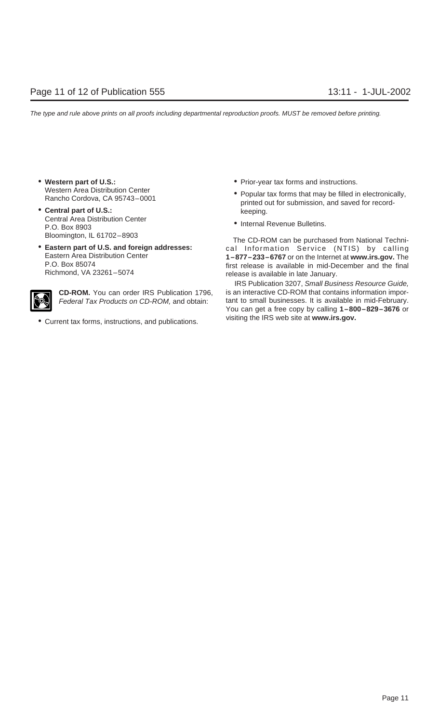- 
- **Central part of U.S.:** keeping. Central Area Distribution Center • Internal Revenue Bulletins.<br>P.O. Box 8903
- 



visiting the IRS web site at **www.irs.gov.** • Current tax forms, instructions, and publications.

- Western part of U.S.:  **Prior-year tax forms and instructions.** 
	- Western Area Distribution Center **Popular tax forms that may be filled in electronically,**<br>Rancho Cordova, CA 95743–0001 **printed out for submission, and saved for record-**
		-

Bloomington, IL 61702–8903 The CD-ROM can be purchased from National Techni- • **Eastern part of U.S. and foreign addresses:** cal Information Service (NTIS) by calling Eastern Area Distribution Center **1–877–233–6767** or on the Internet at **www.irs.gov.** The P.O. Box 85074 **F.O.** Box 85074 **first release is available in mid-December** and the final Richmond, VA 23261-5074 release is available in late January.

IRS Publication 3207, Small Business Resource Guide, **CD-ROM.** You can order IRS Publication 1796, is an interactive CD-ROM that contains information impor-Federal Tax Products on CD-ROM, and obtain: tant to small businesses. It is available in mid-February. You can get a free copy by calling **1–800–829–3676** or